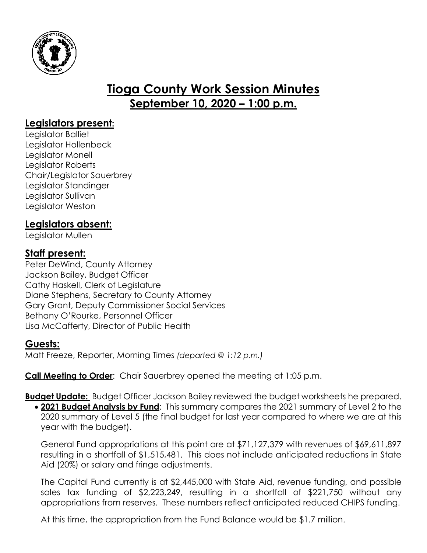

# **Tioga County Work Session Minutes September 10, 2020 – 1:00 p.m.**

# **Legislators present:**

Legislator Balliet Legislator Hollenbeck Legislator Monell Legislator Roberts Chair/Legislator Sauerbrey Legislator Standinger Legislator Sullivan Legislator Weston

# **Legislators absent:**

Legislator Mullen

# **Staff present:**

Peter DeWind, County Attorney Jackson Bailey, Budget Officer Cathy Haskell, Clerk of Legislature Diane Stephens, Secretary to County Attorney Gary Grant, Deputy Commissioner Social Services Bethany O'Rourke, Personnel Officer Lisa McCafferty, Director of Public Health

## **Guests:**

Matt Freeze, Reporter, Morning Times *(departed @ 1:12 p.m.)*

**Call Meeting to Order**: Chair Sauerbrey opened the meeting at 1:05 p.m.

**Budget Update:** Budget Officer Jackson Bailey reviewed the budget worksheets he prepared.

 **2021 Budget Analysis by Fund**: This summary compares the 2021 summary of Level 2 to the 2020 summary of Level 5 (the final budget for last year compared to where we are at this year with the budget).

General Fund appropriations at this point are at \$71,127,379 with revenues of \$69,611,897 resulting in a shortfall of \$1,515,481. This does not include anticipated reductions in State Aid (20%) or salary and fringe adjustments.

The Capital Fund currently is at \$2,445,000 with State Aid, revenue funding, and possible sales tax funding of \$2,223,249, resulting in a shortfall of \$221,750 without any appropriations from reserves. These numbers reflect anticipated reduced CHIPS funding.

At this time, the appropriation from the Fund Balance would be \$1.7 million.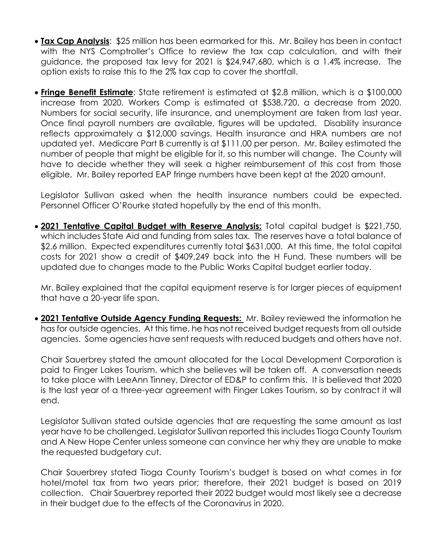- **Tax Cap Analysis**: \$25 million has been earmarked for this. Mr. Bailey has been in contact with the NYS Comptroller's Office to review the tax cap calculation, and with their guidance, the proposed tax levy for 2021 is \$24,947,680, which is a 1.4% increase. The option exists to raise this to the 2% tax cap to cover the shortfall.
- **Fringe Benefit Estimate**: State retirement is estimated at \$2.8 million, which is a \$100,000 increase from 2020. Workers Comp is estimated at \$538,720, a decrease from 2020. Numbers for social security, life insurance, and unemployment are taken from last year. Once final payroll numbers are available, figures will be updated. Disability insurance reflects approximately a \$12,000 savings. Health insurance and HRA numbers are not updated yet. Medicare Part B currently is at \$111.00 per person. Mr. Bailey estimated the number of people that might be eligible for it, so this number will change. The County will have to decide whether they will seek a higher reimbursement of this cost from those eligible. Mr. Bailey reported EAP fringe numbers have been kept at the 2020 amount.

Legislator Sullivan asked when the health insurance numbers could be expected. Personnel Officer O'Rourke stated hopefully by the end of this month.

 **2021 Tentative Capital Budget with Reserve Analysis:** Total capital budget is \$221,750, which includes State Aid and funding from sales tax. The reserves have a total balance of \$2.6 million. Expected expenditures currently total \$631,000. At this time, the total capital costs for 2021 show a credit of \$409,249 back into the H Fund. These numbers will be updated due to changes made to the Public Works Capital budget earlier today.

Mr. Bailey explained that the capital equipment reserve is for larger pieces of equipment that have a 20-year life span.

 **2021 Tentative Outside Agency Funding Requests:** Mr. Bailey reviewed the information he has for outside agencies. At this time, he has not received budget requests from all outside agencies. Some agencies have sent requests with reduced budgets and others have not.

Chair Sauerbrey stated the amount allocated for the Local Development Corporation is paid to Finger Lakes Tourism, which she believes will be taken off. A conversation needs to take place with LeeAnn Tinney, Director of ED&P to confirm this. It is believed that 2020 is the last year of a three-year agreement with Finger Lakes Tourism, so by contract it will end.

Legislator Sullivan stated outside agencies that are requesting the same amount as last year have to be challenged. Legislator Sullivan reported this includes Tioga County Tourism and A New Hope Center unless someone can convince her why they are unable to make the requested budgetary cut.

Chair Sauerbrey stated Tioga County Tourism's budget is based on what comes in for hotel/motel tax from two years prior; therefore, their 2021 budget is based on 2019 collection. Chair Sauerbrey reported their 2022 budget would most likely see a decrease in their budget due to the effects of the Coronavirus in 2020.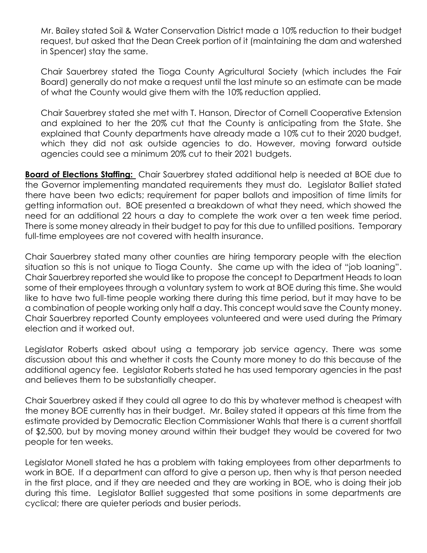Mr. Bailey stated Soil & Water Conservation District made a 10% reduction to their budget request, but asked that the Dean Creek portion of it (maintaining the dam and watershed in Spencer) stay the same.

Chair Sauerbrey stated the Tioga County Agricultural Society (which includes the Fair Board) generally do not make a request until the last minute so an estimate can be made of what the County would give them with the 10% reduction applied.

Chair Sauerbrey stated she met with T. Hanson, Director of Cornell Cooperative Extension and explained to her the 20% cut that the County is anticipating from the State. She explained that County departments have already made a 10% cut to their 2020 budget, which they did not ask outside agencies to do. However, moving forward outside agencies could see a minimum 20% cut to their 2021 budgets.

**Board of Elections Staffing:** Chair Sauerbrey stated additional help is needed at BOE due to the Governor implementing mandated requirements they must do. Legislator Balliet stated there have been two edicts; requirement for paper ballots and imposition of time limits for getting information out. BOE presented a breakdown of what they need, which showed the need for an additional 22 hours a day to complete the work over a ten week time period. There is some money already in their budget to pay for this due to unfilled positions. Temporary full-time employees are not covered with health insurance.

Chair Sauerbrey stated many other counties are hiring temporary people with the election situation so this is not unique to Tioga County. She came up with the idea of "job loaning". Chair Sauerbrey reported she would like to propose the concept to Department Heads to loan some of their employees through a voluntary system to work at BOE during this time. She would like to have two full-time people working there during this time period, but it may have to be a combination of people working only half a day. This concept would save the County money. Chair Sauerbrey reported County employees volunteered and were used during the Primary election and it worked out.

Legislator Roberts asked about using a temporary job service agency. There was some discussion about this and whether it costs the County more money to do this because of the additional agency fee. Legislator Roberts stated he has used temporary agencies in the past and believes them to be substantially cheaper.

Chair Sauerbrey asked if they could all agree to do this by whatever method is cheapest with the money BOE currently has in their budget. Mr. Bailey stated it appears at this time from the estimate provided by Democratic Election Commissioner Wahls that there is a current shortfall of \$2,500, but by moving money around within their budget they would be covered for two people for ten weeks.

Legislator Monell stated he has a problem with taking employees from other departments to work in BOE. If a department can afford to give a person up, then why is that person needed in the first place, and if they are needed and they are working in BOE, who is doing their job during this time. Legislator Balliet suggested that some positions in some departments are cyclical; there are quieter periods and busier periods.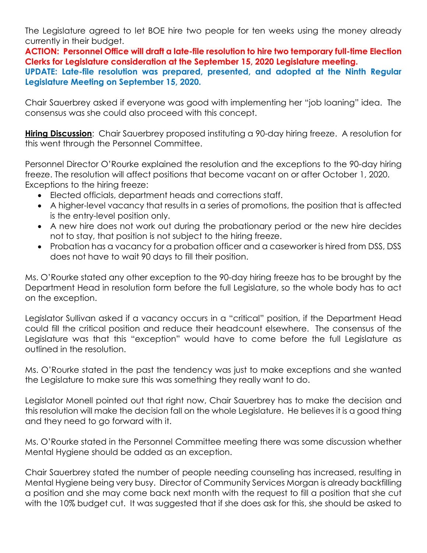The Legislature agreed to let BOE hire two people for ten weeks using the money already currently in their budget.

**ACTION: Personnel Office will draft a late-file resolution to hire two temporary full-time Election Clerks for Legislature consideration at the September 15, 2020 Legislature meeting.**

**UPDATE: Late-file resolution was prepared, presented, and adopted at the Ninth Regular Legislature Meeting on September 15, 2020.** 

Chair Sauerbrey asked if everyone was good with implementing her "job loaning" idea. The consensus was she could also proceed with this concept.

**Hiring Discussion**: Chair Sauerbrey proposed instituting a 90-day hiring freeze. A resolution for this went through the Personnel Committee.

Personnel Director O'Rourke explained the resolution and the exceptions to the 90-day hiring freeze. The resolution will affect positions that become vacant on or after October 1, 2020. Exceptions to the hiring freeze:

- Elected officials, department heads and corrections staff.
- A higher-level vacancy that results in a series of promotions, the position that is affected is the entry-level position only.
- A new hire does not work out during the probationary period or the new hire decides not to stay, that position is not subject to the hiring freeze.
- Probation has a vacancy for a probation officer and a caseworker is hired from DSS, DSS does not have to wait 90 days to fill their position.

Ms. O'Rourke stated any other exception to the 90-day hiring freeze has to be brought by the Department Head in resolution form before the full Legislature, so the whole body has to act on the exception.

Legislator Sullivan asked if a vacancy occurs in a "critical" position, if the Department Head could fill the critical position and reduce their headcount elsewhere. The consensus of the Legislature was that this "exception" would have to come before the full Legislature as outlined in the resolution.

Ms. O'Rourke stated in the past the tendency was just to make exceptions and she wanted the Legislature to make sure this was something they really want to do.

Legislator Monell pointed out that right now, Chair Sauerbrey has to make the decision and this resolution will make the decision fall on the whole Legislature. He believes it is a good thing and they need to go forward with it.

Ms. O'Rourke stated in the Personnel Committee meeting there was some discussion whether Mental Hygiene should be added as an exception.

Chair Sauerbrey stated the number of people needing counseling has increased, resulting in Mental Hygiene being very busy. Director of Community Services Morgan is already backfilling a position and she may come back next month with the request to fill a position that she cut with the 10% budget cut. It was suggested that if she does ask for this, she should be asked to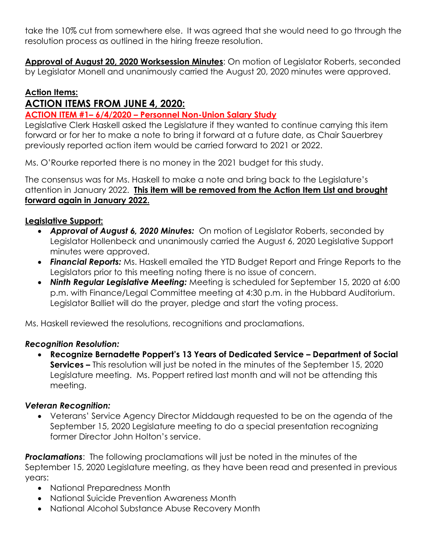take the 10% cut from somewhere else. It was agreed that she would need to go through the resolution process as outlined in the hiring freeze resolution.

**Approval of August 20, 2020 Worksession Minutes**: On motion of Legislator Roberts, seconded by Legislator Monell and unanimously carried the August 20, 2020 minutes were approved.

#### **Action Items:**

# **ACTION ITEMS FROM JUNE 4, 2020:**

#### **ACTION ITEM #1– 6/4/2020 – Personnel Non-Union Salary Study**

Legislative Clerk Haskell asked the Legislature if they wanted to continue carrying this item forward or for her to make a note to bring it forward at a future date, as Chair Sauerbrey previously reported action item would be carried forward to 2021 or 2022.

Ms. O'Rourke reported there is no money in the 2021 budget for this study.

The consensus was for Ms. Haskell to make a note and bring back to the Legislature's attention in January 2022. **This item will be removed from the Action Item List and brought forward again in January 2022.** 

#### **Legislative Support:**

- *Approval of August 6, 2020 Minutes:* On motion of Legislator Roberts, seconded by Legislator Hollenbeck and unanimously carried the August 6, 2020 Legislative Support minutes were approved.
- *Financial Reports:* Ms. Haskell emailed the YTD Budget Report and Fringe Reports to the Legislators prior to this meeting noting there is no issue of concern.
- *Ninth Regular Legislative Meeting:* Meeting is scheduled for September 15, 2020 at 6:00 p.m. with Finance/Legal Committee meeting at 4:30 p.m. in the Hubbard Auditorium. Legislator Balliet will do the prayer, pledge and start the voting process.

Ms. Haskell reviewed the resolutions, recognitions and proclamations.

#### *Recognition Resolution:*

 **Recognize Bernadette Poppert's 13 Years of Dedicated Service – Department of Social Services –** This resolution will just be noted in the minutes of the September 15, 2020 Legislature meeting. Ms. Poppert retired last month and will not be attending this meeting.

## *Veteran Recognition:*

 Veterans' Service Agency Director Middaugh requested to be on the agenda of the September 15, 2020 Legislature meeting to do a special presentation recognizing former Director John Holton's service.

**Proclamations**: The following proclamations will just be noted in the minutes of the September 15, 2020 Legislature meeting, as they have been read and presented in previous years:

- National Preparedness Month
- National Suicide Prevention Awareness Month
- National Alcohol Substance Abuse Recovery Month